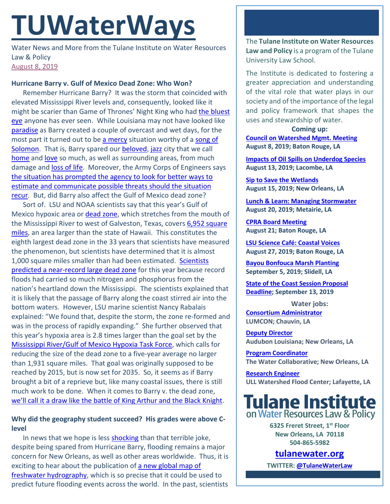# **TUWaterWays**

Water News and More from the Tulane Institute on Water Resources Law & Policy [August 8, 2019](https://thisdayinwaterhistory.wordpress.com/)

### **Hurricane Barry v. Gulf of Mexico Dead Zone: Who Won?**

Remember Hurricane Barry? It was the storm that coincided with elevated Mississippi River levels and, consequently, looked like it might be scarier than Game of Thrones' Night King who had the bluest [eye](https://en.wikipedia.org/wiki/The_Bluest_Eye) anyone has ever seen. While Louisiana may not have looked like [paradise](https://en.wikipedia.org/wiki/Paradise_(novel)) as Barry created a couple of overcast and wet days, for the most part it turned out to be [a mercy](https://en.wikipedia.org/wiki/A_Mercy) situation worthy of a song of [Solomon.](https://en.wikipedia.org/wiki/Song_of_Solomon_(novel)) That is, Barry spared our [beloved,](https://en.wikipedia.org/wiki/Beloved_(novel)) [jazz](https://en.wikipedia.org/wiki/Jazz_(novel)) city that we call [home](https://en.wikipedia.org/wiki/Home_(Morrison_novel)) and [love](https://en.wikipedia.org/wiki/Love_(Morrison_novel)) so much, as well as surrounding areas, from much damage and [loss of life.](https://www.nytimes.com/2019/08/06/books/toni-morrison-dead.html) Moreover, the Army Corps of Engineers says [the situation has prompted the agency to look for better ways to](https://www.nola.com/news/environment/article_73b85896-b576-11e9-abb7-2f96329d3478.html)  [estimate and communicate possible threats should the situation](https://www.nola.com/news/environment/article_73b85896-b576-11e9-abb7-2f96329d3478.html)  [recur.](https://www.nola.com/news/environment/article_73b85896-b576-11e9-abb7-2f96329d3478.html) But, did Barry also affect the Gulf of Mexico dead zone?

Sort of. LSU and NOAA scientists say that this year's Gulf of Mexico hypoxic area or [dead zone,](https://oceanservice.noaa.gov/facts/deadzone.html) which stretches from the mouth of the Mississippi River to west of Galveston, Texas, covers 6,952 square [miles,](https://www.nola.com/news/article_98aed114-b492-11e9-b48d-2ba5b81fd692.html) an area larger than the state of Hawaii. This constitutes the eighth largest dead zone in the 33 years that scientists have measured the phenomenon, but scientists have determined that it is almost 1,000 square miles smaller than had been estimated. [Scientists](https://www.theadvocate.com/baton_rouge/news/environment/article_d38e31a6-8be0-11e9-9c58-77a80e149cd2.html?utm_content=bufferd4b3f&utm_medium=social&utm_source=facebookbatonrouge&utm_campaign=buffer&fbclid=IwAR1c2IATZPgf32uh1cN6LwMG1nECdg_lucV0x2PT2EMOXx4wBkw_vp7BcXU)  predicted a near-record [large dead zone](https://www.theadvocate.com/baton_rouge/news/environment/article_d38e31a6-8be0-11e9-9c58-77a80e149cd2.html?utm_content=bufferd4b3f&utm_medium=social&utm_source=facebookbatonrouge&utm_campaign=buffer&fbclid=IwAR1c2IATZPgf32uh1cN6LwMG1nECdg_lucV0x2PT2EMOXx4wBkw_vp7BcXU) for this year because record floods had carried so much nitrogen and phosphorus from the nation's heartland down the Mississippi. The scientists explained that it is likely that the passage of Barry along the coast stirred air into the bottom waters. However, LSU marine scientist Nancy Rabalais explained: "We found that, despite the storm, the zone re-formed and was in the process of rapidly expanding." She further observed that this year's hypoxia area is 2.8 times larger than the goal set by the [Mississippi River/Gulf of Mexico Hypoxia Task Force,](https://www.epa.gov/ms-htf) which calls for reducing the size of the dead zone to a five-year average no larger than 1,931 square miles. That goal was originally supposed to be reached by 2015, but is now set for 2035. So, it seems as if Barry brought a bit of a reprieve but, like many coastal issues, there is still much work to be done. When it comes to Barry v. the dead zone, we'll call it a draw [like the battle of King Arthur and the Black Knight.](https://www.youtube.com/watch?v=zKhEw7nD9C4)

## **Why did the geography student succeed? His grades were above Clevel**

In news that we hope is less [shocking](https://www.cnn.com/2019/07/31/us/asian-carp-kentucky-scn-trnd/index.html?utm_source=fbCNN&utm_content=2019-08-01T14%3A30%3A09&utm_term=video&utm_medium=social&fbclid=IwAR02ExbKdHEO392K6X3qIKzqPIdeudbhLTbw4LVJWBIsfn7ycN7ucR6eNlg) than that terrible joke, despite being spared from Hurricane Barry, flooding remains a major concern for New Orleans, as well as other areas worldwide. Thus, it is exciting to hear about the publication of a new global map of [freshwater hydrography,](https://eos.org/research-spotlights/a-more-accurate-global-river-map) which is so precise that it could be used to predict future flooding events across the world. In the past, scientists The **Tulane Institute on Water Resources Law and Policy** is a program of the Tulane University Law School.

The Institute is dedicated to fostering a greater appreciation and understanding of the vital role that water plays in our society and of the importance of the legal and policy framework that shapes the uses and stewardship of water.

**Coming up: [Council on Watershed Mgmt. Meeting](https://watershed.la.gov/assets/council-materials/2019-08-08-Council-Agenda.pdf) August 8, 2019; Baton Rouge, LA**

**[Impacts of Oil Spills on Underdog Species](https://gulfseagrant.org/oilspilloutreach/presentations/underdogs-and-oil-impacts-recovery-and-restoration/) August 13, 2019; Lacombe, LA**

**[Sip to Save the Wetlands](https://www.facebook.com/events/689172188222386/) August 15, 2019; New Orleans, LA**

**[Lunch & Learn: Managing Stormwater](https://louisianastormwater.wufoo.com/forms/2019-lunch-learn-series/) August 20, 2019; Metairie, LA**

**[CPRA Board Meeting](https://coastal.la.gov/calendar/) August 21; Baton Rouge, LA**

**[LSU Science Café: Coastal Voices](https://www.eventbrite.com/e/lsu-science-cafe-coastal-voicesstories-of-resiliency-tickets-59923163796) August 27, 2019; Baton Rouge, LA**

**[Bayou Bonfouca Marsh Planting](https://www.eventbrite.com/e/bayou-bonfouca-marsh-restoration-planting-event-on-september-5-2019-tickets-64179587875?aff=erelexpmlt) September 5, 2019; Slidell, LA**

**[State of the Coast Session Proposal](https://conference.ifas.ufl.edu/soc/call_proposals.html)  [Deadline;](https://conference.ifas.ufl.edu/soc/call_proposals.html) September 13, 2019**

**Water jobs: [Consortium Administrator](https://www.governmentjobs.com/careers/louisiana/jobs/2319809/consortium-administrator) LUMCON; Chauvin, LA**

**[Deputy Director](https://careers-audubon.icims.com/jobs/4151/deputy-director%2C-audubon-louisiana/job?mobile=false&width=975&height=500&bga=true&needsRedirect=false&jan1offset=-360&jun1offset=-300) Audubon Louisiana; New Orleans, LA**

**[Program Coordinator](https://www.nolawater.org/blog/available-positions) The Water Collaborative; New Orleans, LA**

**[Research Engineer](https://louisiana.csod.com/ats/careersite/JobDetails.aspx?site=1&id=804) ULL Watershed Flood Center; Lafayette, LA**



**6325 Freret Street, 1st Floor New Orleans, LA 70118 504-865-5982** 

**tulanewater.org**

**TWITTER[: @TulaneWaterLaw](http://www.twitter.com/TulaneWaterLaw)**